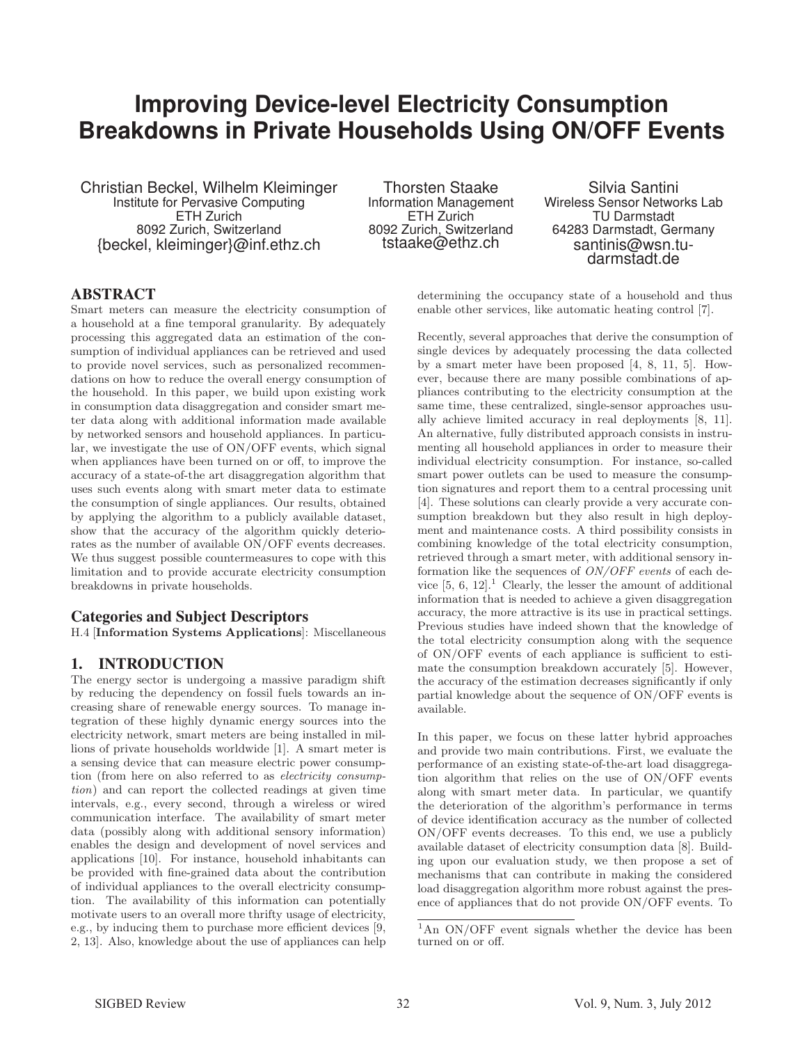# **Improving Device-level Electricity Consumption Breakdowns in Private Households Using ON/OFF Events**

Christian Beckel, Wilhelm Kleiminger Institute for Pervasive Computing ETH Zurich 8092 Zurich, Switzerland {beckel, kleiminger}@inf.ethz.ch

Thorsten Staake Information Management ETH Zurich 8092 Zurich, Switzerland tstaake@ethz.ch

Silvia Santini Wireless Sensor Networks Lab TU Darmstadt 64283 Darmstadt, Germany santinis@wsn.tudarmstadt.de

# ABSTRACT

Smart meters can measure the electricity consumption of a household at a fine temporal granularity. By adequately processing this aggregated data an estimation of the consumption of individual appliances can be retrieved and used to provide novel services, such as personalized recommendations on how to reduce the overall energy consumption of the household. In this paper, we build upon existing work in consumption data disaggregation and consider smart meter data along with additional information made available by networked sensors and household appliances. In particular, we investigate the use of ON/OFF events, which signal when appliances have been turned on or off, to improve the accuracy of a state-of-the art disaggregation algorithm that uses such events along with smart meter data to estimate the consumption of single appliances. Our results, obtained by applying the algorithm to a publicly available dataset, show that the accuracy of the algorithm quickly deteriorates as the number of available ON/OFF events decreases. We thus suggest possible countermeasures to cope with this limitation and to provide accurate electricity consumption breakdowns in private households.

# Categories and Subject Descriptors

H.4 [**Information Systems Applications**]: Miscellaneous

# 1. INTRODUCTION

The energy sector is undergoing a massive paradigm shift by reducing the dependency on fossil fuels towards an increasing share of renewable energy sources. To manage integration of these highly dynamic energy sources into the electricity network, smart meters are being installed in millions of private households worldwide [1]. A smart meter is a sensing device that can measure electric power consumption (from here on also referred to as electricity consumption) and can report the collected readings at given time intervals, e.g., every second, through a wireless or wired communication interface. The availability of smart meter data (possibly along with additional sensory information) enables the design and development of novel services and applications [10]. For instance, household inhabitants can be provided with fine-grained data about the contribution of individual appliances to the overall electricity consumption. The availability of this information can potentially motivate users to an overall more thrifty usage of electricity, e.g., by inducing them to purchase more efficient devices [9, 2, 13]. Also, knowledge about the use of appliances can help determining the occupancy state of a household and thus enable other services, like automatic heating control [7].

Recently, several approaches that derive the consumption of single devices by adequately processing the data collected by a smart meter have been proposed [4, 8, 11, 5]. However, because there are many possible combinations of appliances contributing to the electricity consumption at the same time, these centralized, single-sensor approaches usually achieve limited accuracy in real deployments [8, 11]. An alternative, fully distributed approach consists in instrumenting all household appliances in order to measure their individual electricity consumption. For instance, so-called smart power outlets can be used to measure the consumption signatures and report them to a central processing unit [4]. These solutions can clearly provide a very accurate consumption breakdown but they also result in high deployment and maintenance costs. A third possibility consists in combining knowledge of the total electricity consumption, retrieved through a smart meter, with additional sensory information like the sequences of ON/OFF events of each device  $[5, 6, 12]$ .<sup>1</sup> Clearly, the lesser the amount of additional information that is needed to achieve a given disaggregation accuracy, the more attractive is its use in practical settings. Previous studies have indeed shown that the knowledge of the total electricity consumption along with the sequence of ON/OFF events of each appliance is sufficient to estimate the consumption breakdown accurately [5]. However, the accuracy of the estimation decreases significantly if only partial knowledge about the sequence of ON/OFF events is available.

In this paper, we focus on these latter hybrid approaches and provide two main contributions. First, we evaluate the performance of an existing state-of-the-art load disaggregation algorithm that relies on the use of ON/OFF events along with smart meter data. In particular, we quantify the deterioration of the algorithm's performance in terms of device identification accuracy as the number of collected ON/OFF events decreases. To this end, we use a publicly available dataset of electricity consumption data [8]. Building upon our evaluation study, we then propose a set of mechanisms that can contribute in making the considered load disaggregation algorithm more robust against the presence of appliances that do not provide ON/OFF events. To

 $1$ An ON/OFF event signals whether the device has been turned on or off.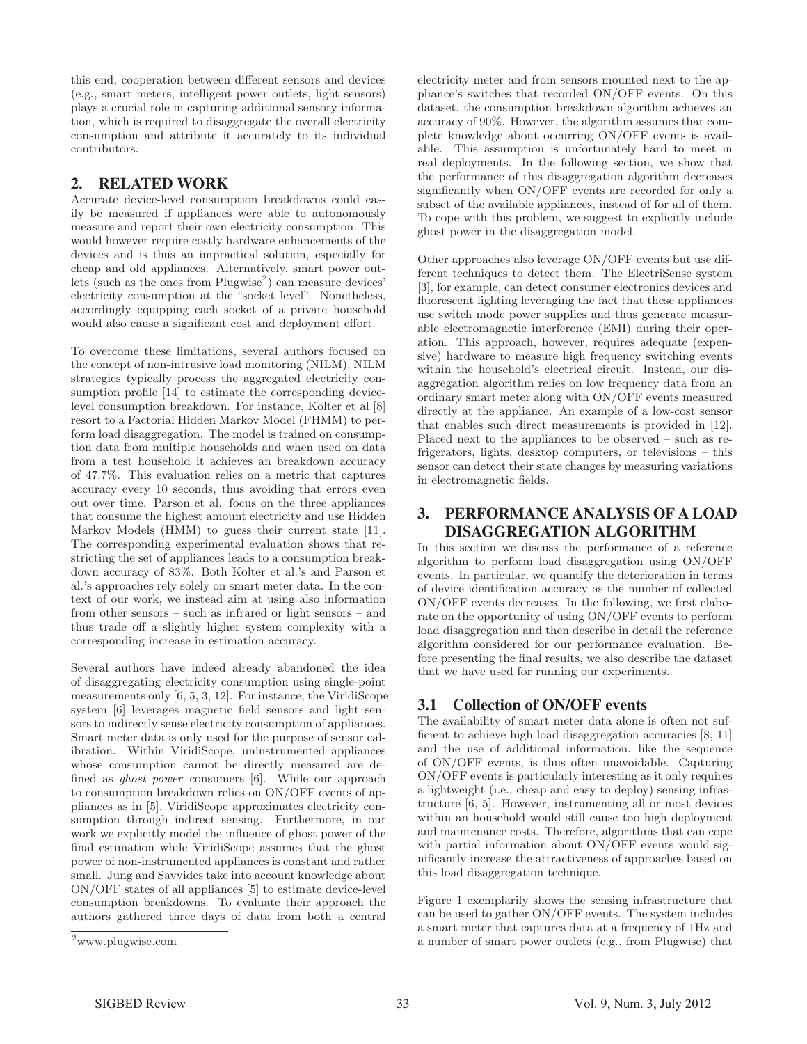this end, cooperation between different sensors and devices (e.g., smart meters, intelligent power outlets, light sensors) plays a crucial role in capturing additional sensory information, which is required to disaggregate the overall electricity consumption and attribute it accurately to its individual contributors.

# 2. RELATED WORK

Accurate device-level consumption breakdowns could easily be measured if appliances were able to autonomously measure and report their own electricity consumption. This would however require costly hardware enhancements of the devices and is thus an impractical solution, especially for cheap and old appliances. Alternatively, smart power outlets (such as the ones from  $Plugwise^2$ ) can measure devices' electricity consumption at the "socket level". Nonetheless, accordingly equipping each socket of a private household would also cause a significant cost and deployment effort.

To overcome these limitations, several authors focused on the concept of non-intrusive load monitoring (NILM). NILM strategies typically process the aggregated electricity consumption profile [14] to estimate the corresponding devicelevel consumption breakdown. For instance, Kolter et al [8] resort to a Factorial Hidden Markov Model (FHMM) to perform load disaggregation. The model is trained on consumption data from multiple households and when used on data from a test household it achieves an breakdown accuracy of 47.7%. This evaluation relies on a metric that captures accuracy every 10 seconds, thus avoiding that errors even out over time. Parson et al. focus on the three appliances that consume the highest amount electricity and use Hidden Markov Models (HMM) to guess their current state [11]. The corresponding experimental evaluation shows that restricting the set of appliances leads to a consumption breakdown accuracy of 83%. Both Kolter et al.'s and Parson et al.'s approaches rely solely on smart meter data. In the context of our work, we instead aim at using also information from other sensors – such as infrared or light sensors – and thus trade off a slightly higher system complexity with a corresponding increase in estimation accuracy.

Several authors have indeed already abandoned the idea of disaggregating electricity consumption using single-point measurements only [6, 5, 3, 12]. For instance, the ViridiScope system [6] leverages magnetic field sensors and light sensors to indirectly sense electricity consumption of appliances. Smart meter data is only used for the purpose of sensor calibration. Within ViridiScope, uninstrumented appliances whose consumption cannot be directly measured are defined as ghost power consumers [6]. While our approach to consumption breakdown relies on ON/OFF events of appliances as in [5], ViridiScope approximates electricity consumption through indirect sensing. Furthermore, in our work we explicitly model the influence of ghost power of the final estimation while ViridiScope assumes that the ghost power of non-instrumented appliances is constant and rather small. Jung and Savvides take into account knowledge about ON/OFF states of all appliances [5] to estimate device-level consumption breakdowns. To evaluate their approach the authors gathered three days of data from both a central

electricity meter and from sensors mounted next to the appliance's switches that recorded ON/OFF events. On this dataset, the consumption breakdown algorithm achieves an accuracy of 90%. However, the algorithm assumes that complete knowledge about occurring ON/OFF events is available. This assumption is unfortunately hard to meet in real deployments. In the following section, we show that the performance of this disaggregation algorithm decreases significantly when ON/OFF events are recorded for only a subset of the available appliances, instead of for all of them. To cope with this problem, we suggest to explicitly include ghost power in the disaggregation model.

Other approaches also leverage ON/OFF events but use different techniques to detect them. The ElectriSense system [3], for example, can detect consumer electronics devices and fluorescent lighting leveraging the fact that these appliances use switch mode power supplies and thus generate measurable electromagnetic interference (EMI) during their operation. This approach, however, requires adequate (expensive) hardware to measure high frequency switching events within the household's electrical circuit. Instead, our disaggregation algorithm relies on low frequency data from an ordinary smart meter along with ON/OFF events measured directly at the appliance. An example of a low-cost sensor that enables such direct measurements is provided in [12]. Placed next to the appliances to be observed – such as refrigerators, lights, desktop computers, or televisions – this sensor can detect their state changes by measuring variations in electromagnetic fields.

# 3. PERFORMANCE ANALYSIS OF A LOAD DISAGGREGATION ALGORITHM

In this section we discuss the performance of a reference algorithm to perform load disaggregation using ON/OFF events. In particular, we quantify the deterioration in terms of device identification accuracy as the number of collected ON/OFF events decreases. In the following, we first elaborate on the opportunity of using ON/OFF events to perform load disaggregation and then describe in detail the reference algorithm considered for our performance evaluation. Before presenting the final results, we also describe the dataset that we have used for running our experiments.

# 3.1 Collection of ON/OFF events

The availability of smart meter data alone is often not sufficient to achieve high load disaggregation accuracies [8, 11] and the use of additional information, like the sequence of ON/OFF events, is thus often unavoidable. Capturing ON/OFF events is particularly interesting as it only requires a lightweight (i.e., cheap and easy to deploy) sensing infrastructure [6, 5]. However, instrumenting all or most devices within an household would still cause too high deployment and maintenance costs. Therefore, algorithms that can cope with partial information about ON/OFF events would significantly increase the attractiveness of approaches based on this load disaggregation technique.

Figure 1 exemplarily shows the sensing infrastructure that can be used to gather ON/OFF events. The system includes a smart meter that captures data at a frequency of 1Hz and a number of smart power outlets (e.g., from Plugwise) that

<sup>2</sup>www.plugwise.com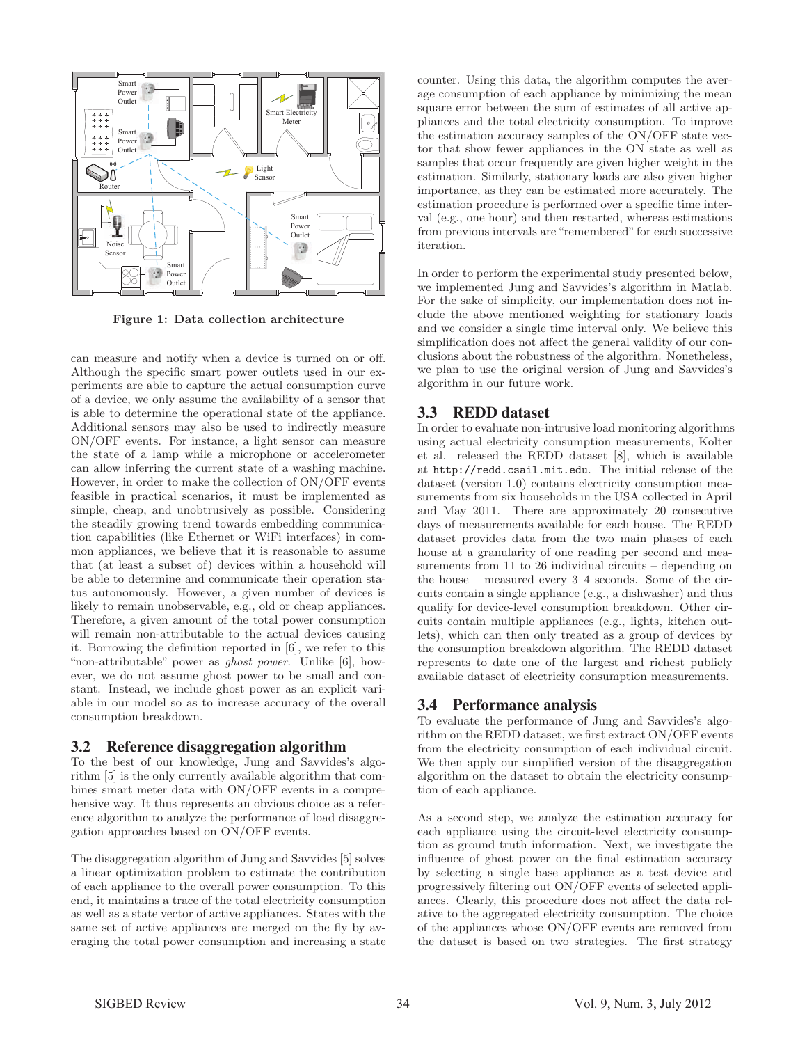

**Figure 1: Data collection architecture**

can measure and notify when a device is turned on or off. Although the specific smart power outlets used in our experiments are able to capture the actual consumption curve of a device, we only assume the availability of a sensor that is able to determine the operational state of the appliance. Additional sensors may also be used to indirectly measure ON/OFF events. For instance, a light sensor can measure the state of a lamp while a microphone or accelerometer can allow inferring the current state of a washing machine. However, in order to make the collection of ON/OFF events feasible in practical scenarios, it must be implemented as simple, cheap, and unobtrusively as possible. Considering the steadily growing trend towards embedding communication capabilities (like Ethernet or WiFi interfaces) in common appliances, we believe that it is reasonable to assume that (at least a subset of) devices within a household will be able to determine and communicate their operation status autonomously. However, a given number of devices is likely to remain unobservable, e.g., old or cheap appliances. Therefore, a given amount of the total power consumption will remain non-attributable to the actual devices causing it. Borrowing the definition reported in [6], we refer to this "non-attributable" power as ghost power. Unlike [6], however, we do not assume ghost power to be small and constant. Instead, we include ghost power as an explicit variable in our model so as to increase accuracy of the overall consumption breakdown.

#### 3.2 Reference disaggregation algorithm

To the best of our knowledge, Jung and Savvides's algorithm [5] is the only currently available algorithm that combines smart meter data with ON/OFF events in a comprehensive way. It thus represents an obvious choice as a reference algorithm to analyze the performance of load disaggregation approaches based on ON/OFF events.

The disaggregation algorithm of Jung and Savvides [5] solves a linear optimization problem to estimate the contribution of each appliance to the overall power consumption. To this end, it maintains a trace of the total electricity consumption as well as a state vector of active appliances. States with the same set of active appliances are merged on the fly by averaging the total power consumption and increasing a state counter. Using this data, the algorithm computes the average consumption of each appliance by minimizing the mean square error between the sum of estimates of all active appliances and the total electricity consumption. To improve the estimation accuracy samples of the ON/OFF state vector that show fewer appliances in the ON state as well as samples that occur frequently are given higher weight in the estimation. Similarly, stationary loads are also given higher importance, as they can be estimated more accurately. The estimation procedure is performed over a specific time interval (e.g., one hour) and then restarted, whereas estimations from previous intervals are "remembered" for each successive iteration.

In order to perform the experimental study presented below, we implemented Jung and Savvides's algorithm in Matlab. For the sake of simplicity, our implementation does not include the above mentioned weighting for stationary loads and we consider a single time interval only. We believe this simplification does not affect the general validity of our conclusions about the robustness of the algorithm. Nonetheless, we plan to use the original version of Jung and Savvides's algorithm in our future work.

# 3.3 REDD dataset

In order to evaluate non-intrusive load monitoring algorithms using actual electricity consumption measurements, Kolter et al. released the REDD dataset [8], which is available at http://redd.csail.mit.edu. The initial release of the dataset (version 1.0) contains electricity consumption measurements from six households in the USA collected in April and May 2011. There are approximately 20 consecutive days of measurements available for each house. The REDD dataset provides data from the two main phases of each house at a granularity of one reading per second and measurements from 11 to 26 individual circuits – depending on the house – measured every 3–4 seconds. Some of the circuits contain a single appliance (e.g., a dishwasher) and thus qualify for device-level consumption breakdown. Other circuits contain multiple appliances (e.g., lights, kitchen outlets), which can then only treated as a group of devices by the consumption breakdown algorithm. The REDD dataset represents to date one of the largest and richest publicly available dataset of electricity consumption measurements.

# 3.4 Performance analysis

To evaluate the performance of Jung and Savvides's algorithm on the REDD dataset, we first extract ON/OFF events from the electricity consumption of each individual circuit. We then apply our simplified version of the disaggregation algorithm on the dataset to obtain the electricity consumption of each appliance.

As a second step, we analyze the estimation accuracy for each appliance using the circuit-level electricity consumption as ground truth information. Next, we investigate the influence of ghost power on the final estimation accuracy by selecting a single base appliance as a test device and progressively filtering out ON/OFF events of selected appliances. Clearly, this procedure does not affect the data relative to the aggregated electricity consumption. The choice of the appliances whose ON/OFF events are removed from the dataset is based on two strategies. The first strategy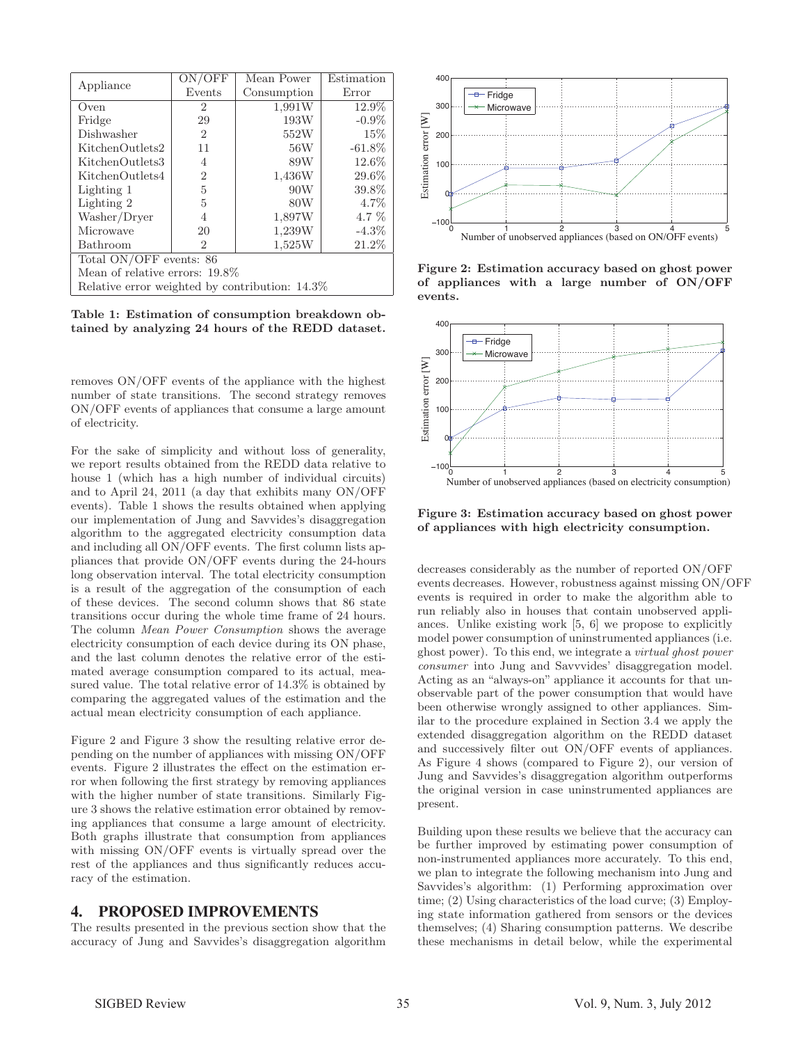| Appliance                                         | 'OFF           | Mean Power  | Estimation |
|---------------------------------------------------|----------------|-------------|------------|
|                                                   | Events         | Consumption | Error      |
| Oven                                              | $\overline{2}$ | 1,991W      | 12.9%      |
| Fridge                                            | 29             | 193W        | $-0.9\%$   |
| Dishwasher                                        | $\overline{2}$ | 552W        | 15%        |
| KitchenOutlets2                                   | 11             | 56W         | $-61.8\%$  |
| KitchenOutlets3                                   | 4              | 89W         | 12.6%      |
| KitchenOutlets4                                   | $\overline{2}$ | 1,436W      | 29.6%      |
| Lighting 1                                        | 5              | 90W         | 39.8%      |
| Lighting 2                                        | 5              | 80W         | 4.7%       |
| Washer/Dryer                                      | 4              | 1,897W      | 4.7 %      |
| Microwaye                                         | 20             | 1,239W      | $-4.3\%$   |
| <b>Bathroom</b>                                   | $\overline{2}$ | 1,525W      | 21.2%      |
| Total ON/OFF events: 86                           |                |             |            |
| Mean of relative errors: 19.8%                    |                |             |            |
| Relative error weighted by contribution: $14.3\%$ |                |             |            |

**Table 1: Estimation of consumption breakdown obtained by analyzing 24 hours of the REDD dataset.**

removes ON/OFF events of the appliance with the highest number of state transitions. The second strategy removes ON/OFF events of appliances that consume a large amount of electricity.

For the sake of simplicity and without loss of generality, we report results obtained from the REDD data relative to house 1 (which has a high number of individual circuits) and to April 24, 2011 (a day that exhibits many ON/OFF events). Table 1 shows the results obtained when applying our implementation of Jung and Savvides's disaggregation algorithm to the aggregated electricity consumption data and including all ON/OFF events. The first column lists appliances that provide ON/OFF events during the 24-hours long observation interval. The total electricity consumption is a result of the aggregation of the consumption of each of these devices. The second column shows that 86 state transitions occur during the whole time frame of 24 hours. The column Mean Power Consumption shows the average electricity consumption of each device during its ON phase, and the last column denotes the relative error of the estimated average consumption compared to its actual, measured value. The total relative error of 14.3% is obtained by comparing the aggregated values of the estimation and the actual mean electricity consumption of each appliance.

Figure 2 and Figure 3 show the resulting relative error depending on the number of appliances with missing ON/OFF events. Figure 2 illustrates the effect on the estimation error when following the first strategy by removing appliances with the higher number of state transitions. Similarly Figure 3 shows the relative estimation error obtained by removing appliances that consume a large amount of electricity. Both graphs illustrate that consumption from appliances with missing ON/OFF events is virtually spread over the rest of the appliances and thus significantly reduces accuracy of the estimation.

#### 4. PROPOSED IMPROVEMENTS

The results presented in the previous section show that the accuracy of Jung and Savvides's disaggregation algorithm



**Figure 2: Estimation accuracy based on ghost power of appliances with a large number of ON/OFF events.**



**Figure 3: Estimation accuracy based on ghost power of appliances with high electricity consumption.**

decreases considerably as the number of reported ON/OFF events decreases. However, robustness against missing ON/OFF events is required in order to make the algorithm able to run reliably also in houses that contain unobserved appliances. Unlike existing work [5, 6] we propose to explicitly model power consumption of uninstrumented appliances (i.e. ghost power). To this end, we integrate a virtual ghost power consumer into Jung and Savvvides' disaggregation model. Acting as an "always-on" appliance it accounts for that unobservable part of the power consumption that would have been otherwise wrongly assigned to other appliances. Similar to the procedure explained in Section 3.4 we apply the extended disaggregation algorithm on the REDD dataset and successively filter out ON/OFF events of appliances. As Figure 4 shows (compared to Figure 2), our version of Jung and Savvides's disaggregation algorithm outperforms the original version in case uninstrumented appliances are present.

Building upon these results we believe that the accuracy can be further improved by estimating power consumption of non-instrumented appliances more accurately. To this end, we plan to integrate the following mechanism into Jung and Savvides's algorithm: (1) Performing approximation over time; (2) Using characteristics of the load curve; (3) Employing state information gathered from sensors or the devices themselves; (4) Sharing consumption patterns. We describe these mechanisms in detail below, while the experimental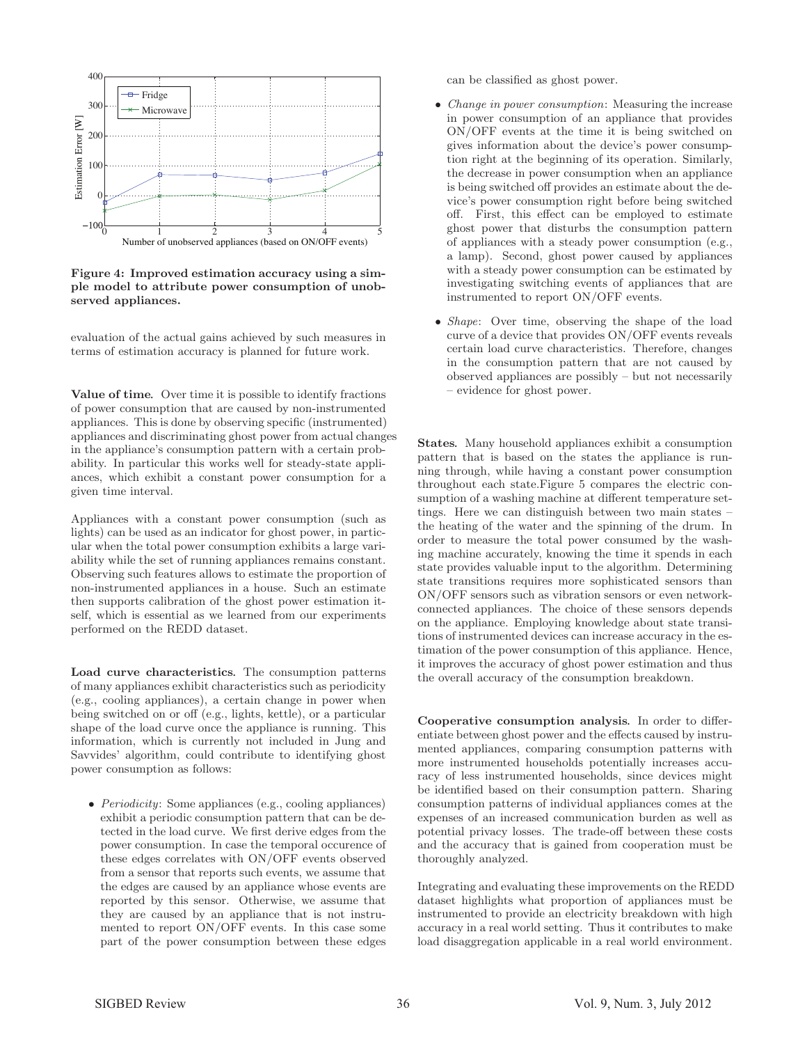

**Figure 4: Improved estimation accuracy using a simple model to attribute power consumption of unobserved appliances.**

evaluation of the actual gains achieved by such measures in terms of estimation accuracy is planned for future work.

**Value of time***.* Over time it is possible to identify fractions of power consumption that are caused by non-instrumented appliances. This is done by observing specific (instrumented) appliances and discriminating ghost power from actual changes in the appliance's consumption pattern with a certain probability. In particular this works well for steady-state appliances, which exhibit a constant power consumption for a given time interval.

Appliances with a constant power consumption (such as lights) can be used as an indicator for ghost power, in particular when the total power consumption exhibits a large variability while the set of running appliances remains constant. Observing such features allows to estimate the proportion of non-instrumented appliances in a house. Such an estimate then supports calibration of the ghost power estimation itself, which is essential as we learned from our experiments performed on the REDD dataset.

**Load curve characteristics***.* The consumption patterns of many appliances exhibit characteristics such as periodicity (e.g., cooling appliances), a certain change in power when being switched on or off (e.g., lights, kettle), or a particular shape of the load curve once the appliance is running. This information, which is currently not included in Jung and Savvides' algorithm, could contribute to identifying ghost power consumption as follows:

• *Periodicity:* Some appliances (e.g., cooling appliances) exhibit a periodic consumption pattern that can be detected in the load curve. We first derive edges from the power consumption. In case the temporal occurence of these edges correlates with ON/OFF events observed from a sensor that reports such events, we assume that the edges are caused by an appliance whose events are reported by this sensor. Otherwise, we assume that they are caused by an appliance that is not instrumented to report ON/OFF events. In this case some part of the power consumption between these edges can be classified as ghost power.

- *Change in power consumption:* Measuring the increase in power consumption of an appliance that provides ON/OFF events at the time it is being switched on gives information about the device's power consumption right at the beginning of its operation. Similarly, the decrease in power consumption when an appliance is being switched off provides an estimate about the device's power consumption right before being switched off. First, this effect can be employed to estimate ghost power that disturbs the consumption pattern of appliances with a steady power consumption (e.g., a lamp). Second, ghost power caused by appliances with a steady power consumption can be estimated by investigating switching events of appliances that are instrumented to report ON/OFF events.
- *Shape*: Over time, observing the shape of the load curve of a device that provides ON/OFF events reveals certain load curve characteristics. Therefore, changes in the consumption pattern that are not caused by observed appliances are possibly – but not necessarily – evidence for ghost power.

**States***.* Many household appliances exhibit a consumption pattern that is based on the states the appliance is running through, while having a constant power consumption throughout each state.Figure 5 compares the electric consumption of a washing machine at different temperature settings. Here we can distinguish between two main states – the heating of the water and the spinning of the drum. In order to measure the total power consumed by the washing machine accurately, knowing the time it spends in each state provides valuable input to the algorithm. Determining state transitions requires more sophisticated sensors than ON/OFF sensors such as vibration sensors or even networkconnected appliances. The choice of these sensors depends on the appliance. Employing knowledge about state transitions of instrumented devices can increase accuracy in the estimation of the power consumption of this appliance. Hence, it improves the accuracy of ghost power estimation and thus the overall accuracy of the consumption breakdown.

**Cooperative consumption analysis***.* In order to differentiate between ghost power and the effects caused by instrumented appliances, comparing consumption patterns with more instrumented households potentially increases accuracy of less instrumented households, since devices might be identified based on their consumption pattern. Sharing consumption patterns of individual appliances comes at the expenses of an increased communication burden as well as potential privacy losses. The trade-off between these costs and the accuracy that is gained from cooperation must be thoroughly analyzed.

Integrating and evaluating these improvements on the REDD dataset highlights what proportion of appliances must be instrumented to provide an electricity breakdown with high accuracy in a real world setting. Thus it contributes to make load disaggregation applicable in a real world environment.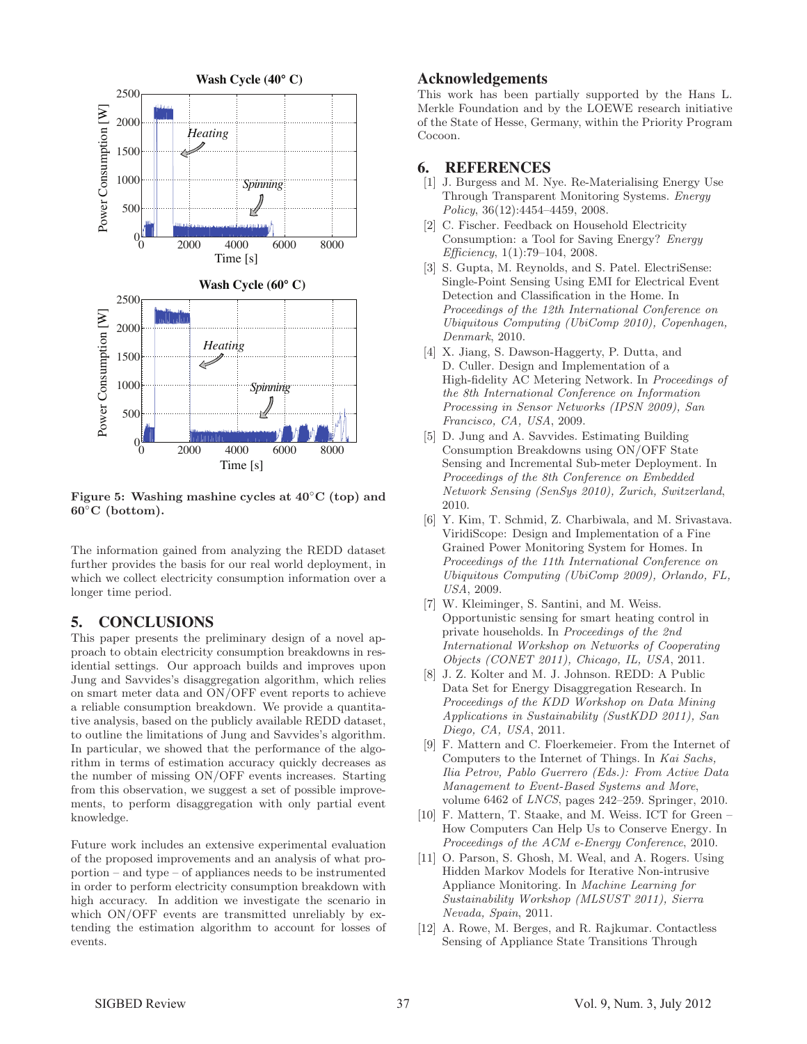

**Figure 5: Washing mashine cycles at 40**◦**C (top) and 60**◦**C (bottom).**

The information gained from analyzing the REDD dataset further provides the basis for our real world deployment, in which we collect electricity consumption information over a longer time period.

# 5. CONCLUSIONS

This paper presents the preliminary design of a novel approach to obtain electricity consumption breakdowns in residential settings. Our approach builds and improves upon Jung and Savvides's disaggregation algorithm, which relies on smart meter data and ON/OFF event reports to achieve a reliable consumption breakdown. We provide a quantitative analysis, based on the publicly available REDD dataset, to outline the limitations of Jung and Savvides's algorithm. In particular, we showed that the performance of the algorithm in terms of estimation accuracy quickly decreases as the number of missing ON/OFF events increases. Starting from this observation, we suggest a set of possible improvements, to perform disaggregation with only partial event knowledge.

Future work includes an extensive experimental evaluation of the proposed improvements and an analysis of what proportion – and type – of appliances needs to be instrumented in order to perform electricity consumption breakdown with high accuracy. In addition we investigate the scenario in which ON/OFF events are transmitted unreliably by extending the estimation algorithm to account for losses of events.

#### Acknowledgements

This work has been partially supported by the Hans L. Merkle Foundation and by the LOEWE research initiative of the State of Hesse, Germany, within the Priority Program Cocoon.

#### 6. REFERENCES

- [1] J. Burgess and M. Nye. Re-Materialising Energy Use Through Transparent Monitoring Systems. Energy Policy, 36(12):4454–4459, 2008.
- [2] C. Fischer. Feedback on Household Electricity Consumption: a Tool for Saving Energy? Energy Efficiency, 1(1):79–104, 2008.
- [3] S. Gupta, M. Reynolds, and S. Patel. ElectriSense: Single-Point Sensing Using EMI for Electrical Event Detection and Classification in the Home. In Proceedings of the 12th International Conference on<br>Ubiquitous Computing (UbiComp 2010), Copenhagen,  $Denmark, 2010.$ <br>  $Y$  liang S Dawson Haggerty, P Dutta and
- [4] X. Jiang, S. Dawson-Haggerty, P. Dutta, and D. Culler. Design and Implementation of a High-fidelity AC Metering Network. In *Proceedings of the 8th International Conference on Information* Processing in Sensor Networks (IPSN 2009), San  $P^*$  Francisco, CA, USA, 2009.
- [5] D. Jung and A. Savvides. Estimating Building Consumption Breakdowns using ON/OFF State Sensing and Incremental Sub-meter Deployment. In Protocomic Sensing (SenSys 2010), Zurich, Switzerland,<br>Network Sensing (SenSys 2010), Zurich, Switzerland, 2010.
- [6] Y. Kim, T. Schmid, Z. Charbiwala, and M. Srivastava. ViridiScope: Design and Implementation of a Fine Grained Power Monitoring System for Homes. In Proceedings of the 22th International Conference on  $USA$  2009 USA, 2009.
- [7] W. Kleiminger, S. Santini, and M. Weiss. Opportunistic sensing for smart heating control in private households. In Proceedings of the 2nd<br>International Workshop on Networks of Cooperating Objects (CONET 2011), Chicago, IL, USA, 2011.<br>
I. Z. Kolter and M. J. Johnson, BEDD: A Public
- [8] J. Z. Kolter and M. J. Johnson. REDD: A Public Data Set for Energy Disaggregation Research. In Proceedings of the KDD Workshop on Data Mining<br>Applications in Sustainability (SustKDD 2011), San  $\begin{array}{l}\text{Diego, CA, USA, 2011.} \end{array}$
- [9] F. Mattern and C. Floerkemeier. From the Internet of Computers to the Internet of Things. In Kai Sachs,<br>Ilia Petrov, Pablo Guerrero (Eds.): From Active Data Management to Event-Based Systems and More,<br>
volume 6462 of LNCS pages 242–259 Springer 2010 volume 6462 of LNCS, pages 242–259. Springer, 2010.
- [10] F. Mattern, T. Staake, and M. Weiss. ICT for Green How Computers Can Help Us to Conserve Energy. In Proceedings of the ACM e-Energy Conference, 2010.
- [11] O. Parson, S. Ghosh, M. Weal, and A. Rogers. Using Hidden Markov Models for Iterative Non-intrusive Appliance Monitoring. In Machine Learning for<br>Sustainability Workshop (MLSUST 2011), Sierra Nevada, Spain, 2011.<br>
A Bowe M Berges and B Baikumar Contactl
- [12] A. Rowe, M. Berges, and R. Rajkumar. Contactless Sensing of Appliance State Transitions Through